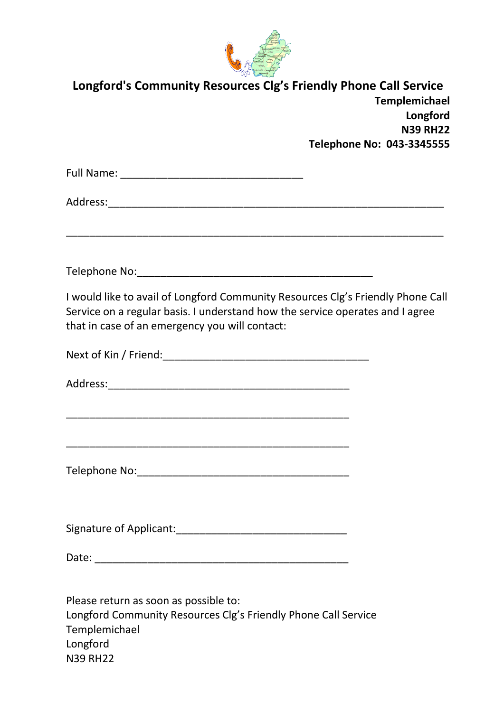

| September 1<br>Longford's Community Resources Clg's Friendly Phone Call Service<br>Templemichael<br>Longford<br><b>N39 RH22</b><br>Telephone No: 043-3345555                                                       |  |
|--------------------------------------------------------------------------------------------------------------------------------------------------------------------------------------------------------------------|--|
|                                                                                                                                                                                                                    |  |
|                                                                                                                                                                                                                    |  |
|                                                                                                                                                                                                                    |  |
| I would like to avail of Longford Community Resources Clg's Friendly Phone Call<br>Service on a regular basis. I understand how the service operates and I agree<br>that in case of an emergency you will contact: |  |
|                                                                                                                                                                                                                    |  |
|                                                                                                                                                                                                                    |  |
|                                                                                                                                                                                                                    |  |
|                                                                                                                                                                                                                    |  |
|                                                                                                                                                                                                                    |  |
| Please return as soon as possible to:<br>Longford Community Resources Clg's Friendly Phone Call Service<br>Templemichael<br>Longford<br><b>N39 RH22</b>                                                            |  |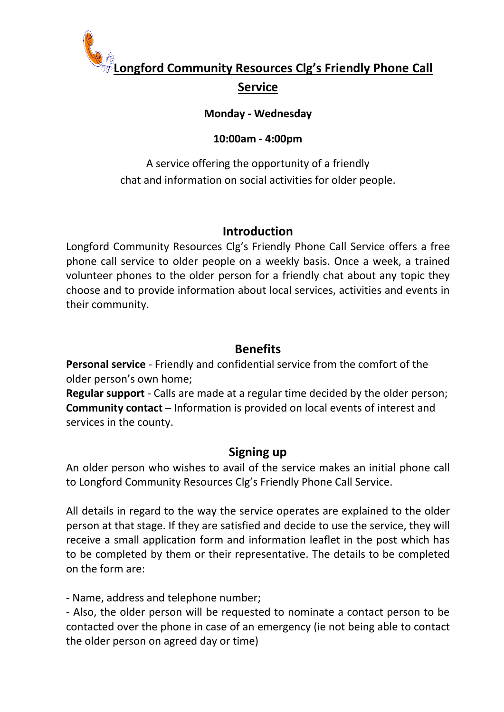

# **Longford Community Resources Clg's Friendly Phone Call Service**

#### **Monday - Wednesday**

#### **10:00am - 4:00pm**

A service offering the opportunity of a friendly chat and information on social activities for older people.

#### **Introduction**

Longford Community Resources Clg's Friendly Phone Call Service offers a free phone call service to older people on a weekly basis. Once a week, a trained volunteer phones to the older person for a friendly chat about any topic they choose and to provide information about local services, activities and events in their community.

#### **Benefits**

**Personal service** - Friendly and confidential service from the comfort of the older person's own home;

**Regular support** - Calls are made at a regular time decided by the older person; **Community contact** – Information is provided on local events of interest and services in the county.

#### **Signing up**

An older person who wishes to avail of the service makes an initial phone call to Longford Community Resources Clg's Friendly Phone Call Service.

All details in regard to the way the service operates are explained to the older person at that stage. If they are satisfied and decide to use the service, they will receive a small application form and information leaflet in the post which has to be completed by them or their representative. The details to be completed on the form are:

- Name, address and telephone number;

- Also, the older person will be requested to nominate a contact person to be contacted over the phone in case of an emergency (ie not being able to contact the older person on agreed day or time)